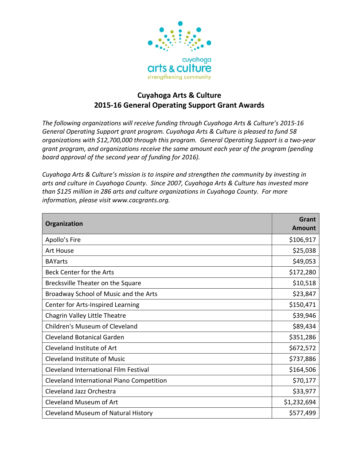

## **Cuyahoga Arts & Culture 2015-16 General Operating Support Grant Awards**

*The following organizations will receive funding through Cuyahoga Arts & Culture's 2015-16 General Operating Support grant program. Cuyahoga Arts & Culture is pleased to fund 58 organizations with \$12,700,000 through this program. General Operating Support is a two-year grant program, and organizations receive the same amount each year of the program (pending board approval of the second year of funding for 2016).* 

*Cuyahoga Arts & Culture's mission is to inspire and strengthen the community by investing in arts and culture in Cuyahoga County. Since 2007, Cuyahoga Arts & Culture has invested more than \$125 million in 286 arts and culture organizations in Cuyahoga County. For more information, please visit www.cacgrants.org.*

| Organization                              | Grant<br><b>Amount</b> |
|-------------------------------------------|------------------------|
| Apollo's Fire                             | \$106,917              |
| <b>Art House</b>                          | \$25,038               |
| <b>BAYarts</b>                            | \$49,053               |
| Beck Center for the Arts                  | \$172,280              |
| Brecksville Theater on the Square         | \$10,518               |
| Broadway School of Music and the Arts     | \$23,847               |
| Center for Arts-Inspired Learning         | \$150,471              |
| Chagrin Valley Little Theatre             | \$39,946               |
| Children's Museum of Cleveland            | \$89,434               |
| <b>Cleveland Botanical Garden</b>         | \$351,286              |
| Cleveland Institute of Art                | \$672,572              |
| Cleveland Institute of Music              | \$737,886              |
| Cleveland International Film Festival     | \$164,506              |
| Cleveland International Piano Competition | \$70,177               |
| Cleveland Jazz Orchestra                  | \$33,977               |
| Cleveland Museum of Art                   | \$1,232,694            |
| Cleveland Museum of Natural History       | \$577,499              |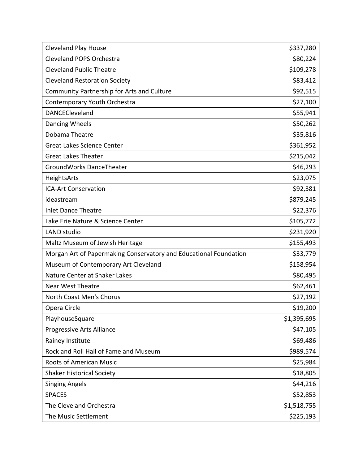| <b>Cleveland Play House</b>                                       | \$337,280   |
|-------------------------------------------------------------------|-------------|
| <b>Cleveland POPS Orchestra</b>                                   | \$80,224    |
| <b>Cleveland Public Theatre</b>                                   | \$109,278   |
| <b>Cleveland Restoration Society</b>                              | \$83,412    |
| Community Partnership for Arts and Culture                        | \$92,515    |
| Contemporary Youth Orchestra                                      | \$27,100    |
| DANCECleveland                                                    | \$55,941    |
| Dancing Wheels                                                    | \$50,262    |
| Dobama Theatre                                                    | \$35,816    |
| <b>Great Lakes Science Center</b>                                 | \$361,952   |
| <b>Great Lakes Theater</b>                                        | \$215,042   |
| GroundWorks DanceTheater                                          | \$46,293    |
| HeightsArts                                                       | \$23,075    |
| <b>ICA-Art Conservation</b>                                       | \$92,381    |
| ideastream                                                        | \$879,245   |
| <b>Inlet Dance Theatre</b>                                        | \$22,376    |
| Lake Erie Nature & Science Center                                 | \$105,772   |
| LAND studio                                                       | \$231,920   |
| Maltz Museum of Jewish Heritage                                   | \$155,493   |
| Morgan Art of Papermaking Conservatory and Educational Foundation | \$33,779    |
| Museum of Contemporary Art Cleveland                              | \$158,954   |
| Nature Center at Shaker Lakes                                     | \$80,495    |
| <b>Near West Theatre</b>                                          | \$62,461    |
| North Coast Men's Chorus                                          | \$27,192    |
| Opera Circle                                                      | \$19,200    |
| PlayhouseSquare                                                   | \$1,395,695 |
| Progressive Arts Alliance                                         | \$47,105    |
| Rainey Institute                                                  | \$69,486    |
| Rock and Roll Hall of Fame and Museum                             | \$989,574   |
| <b>Roots of American Music</b>                                    | \$25,984    |
| <b>Shaker Historical Society</b>                                  | \$18,805    |
| <b>Singing Angels</b>                                             | \$44,216    |
| <b>SPACES</b>                                                     | \$52,853    |
| The Cleveland Orchestra                                           | \$1,518,755 |
| The Music Settlement                                              | \$225,193   |